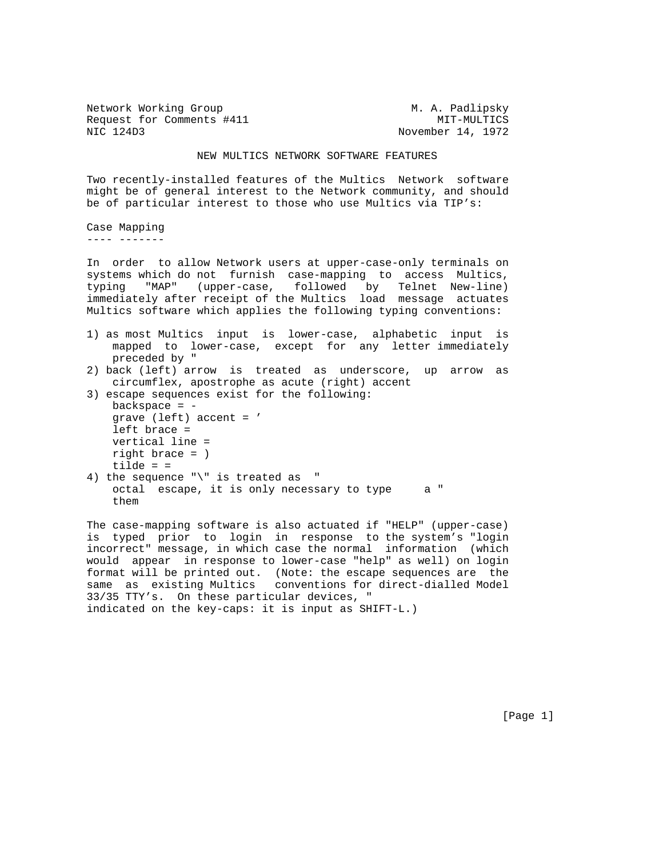Network Working Group M. A. Padlipsky Request for Comments #411 MIT-MULTICS NIC 124D3 November 14, 1972

## NEW MULTICS NETWORK SOFTWARE FEATURES

Two recently-installed features of the Multics Network software might be of general interest to the Network community, and should be of particular interest to those who use Multics via TIP's:

Case Mapping ---- -------

In order to allow Network users at upper-case-only terminals on systems which do not furnish case-mapping to access Multics, typing "MAP" (upper-case, followed by Telnet New-line) immediately after receipt of the Multics load message actuates Multics software which applies the following typing conventions:

- 1) as most Multics input is lower-case, alphabetic input is mapped to lower-case, except for any letter immediately preceded by "
- 2) back (left) arrow is treated as underscore, up arrow as circumflex, apostrophe as acute (right) accent
- 3) escape sequences exist for the following: backspace  $= -$

 grave (left) accent = ' left brace = vertical line = right brace = ) tilde =  $=$ 

4) the sequence "\" is treated as " octal escape, it is only necessary to type a " them

The case-mapping software is also actuated if "HELP" (upper-case) is typed prior to login in response to the system's "login incorrect" message, in which case the normal information (which would appear in response to lower-case "help" as well) on login format will be printed out. (Note: the escape sequences are the same as existing Multics conventions for direct-dialled Model 33/35 TTY's. On these particular devices, " indicated on the key-caps: it is input as SHIFT-L.)

[Page 1]